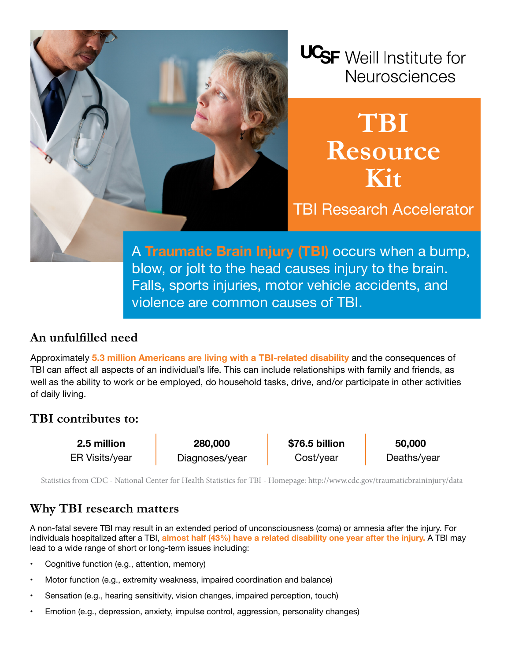

**UCSF** Weill Institute for **Neurosciences** 

> **TBI Resource Kit**

TBI Research Accelerator

A **Traumatic Brain Injury (TBI)** occurs when a bump, blow, or jolt to the head causes injury to the brain. Falls, sports injuries, motor vehicle accidents, and violence are common causes of TBI.

#### **An unfulfilled need**

Approximately **5.3 million Americans are living with a TBI-related disability** and the consequences of TBI can affect all aspects of an individual's life. This can include relationships with family and friends, as well as the ability to work or be employed, do household tasks, drive, and/or participate in other activities of daily living.

## **TBI contributes to:**

**2.5 million** ER Visits/year

**280,000** Diagnoses/year

**\$76.5 billion** Cost/year

**50,000** Deaths/year

Statistics from CDC - National Center for Health Statistics for TBI - Homepage: [http://www.cdc.gov/traumaticbraininjury/data](https://www.cdc.gov/traumaticbraininjury/get_the_facts.html)

## **Why TBI research matters**

A non-fatal severe TBI may result in an extended period of unconsciousness (coma) or amnesia after the injury. For individuals hospitalized after a TBI, **almost half (43%) have a related disability one year after the injury.** A TBI may lead to a wide range of short or long-term issues including:

- Cognitive function (e.g., attention, memory)
- Motor function (e.g., extremity weakness, impaired coordination and balance)
- Sensation (e.g., hearing sensitivity, vision changes, impaired perception, touch)
- Emotion (e.g., depression, anxiety, impulse control, aggression, personality changes)